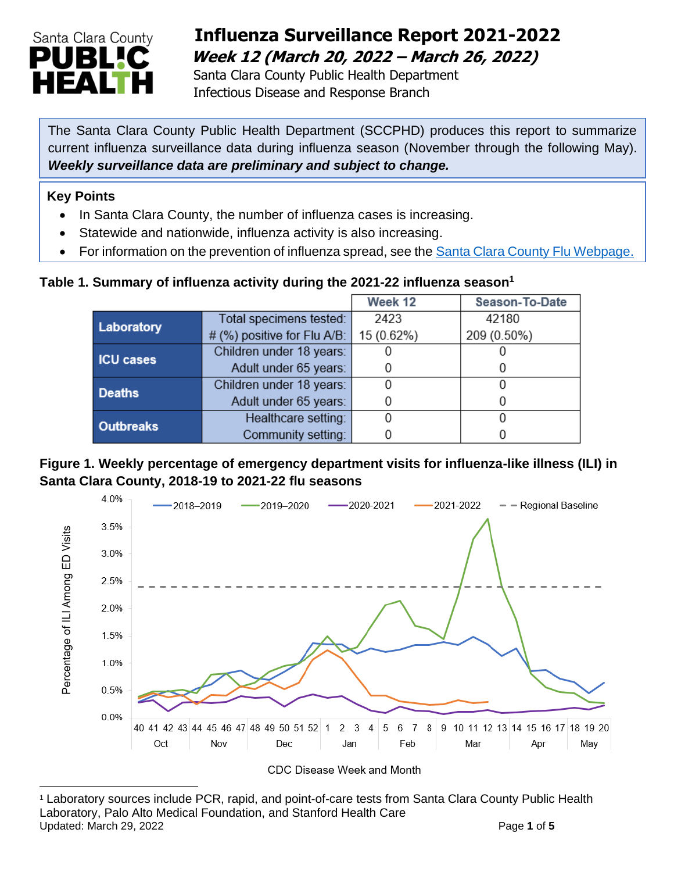

# **Influenza Surveillance Report 2021-2022 Week 12 (March 20, 2022 – March 26, 2022)**

 Santa Clara County Public Health Department Infectious Disease and Response Branch

The Santa Clara County Public Health Department (SCCPHD) produces this report to summarize current influenza surveillance data during influenza season (November through the following May). *Weekly surveillance data are preliminary and subject to change.*

#### **Key Points**

- In Santa Clara County, the number of influenza cases is increasing.
- Statewide and nationwide, influenza activity is also increasing.
- For information on the prevention of influenza spread, see the [Santa Clara County Flu Webpage.](https://publichealth.sccgov.org/disease-information/influenza-flu)

#### **Table 1. Summary of influenza activity during the 2021-22 influenza season<sup>1</sup>**

|                  |                             | Week 12    | Season-To-Date |
|------------------|-----------------------------|------------|----------------|
| Laboratory       | Total specimens tested:     | 2423       | 42180          |
|                  | # (%) positive for Flu A/B: | 15 (0.62%) | 209 (0.50%)    |
| <b>ICU cases</b> | Children under 18 years:    |            |                |
|                  | Adult under 65 years:       |            |                |
| <b>Deaths</b>    | Children under 18 years:    |            |                |
|                  | Adult under 65 years:       |            |                |
| <b>Outbreaks</b> | Healthcare setting:         |            |                |
|                  | Community setting:          |            |                |

#### **Figure 1. Weekly percentage of emergency department visits for influenza-like illness (ILI) in Santa Clara County, 2018-19 to 2021-22 flu seasons**



CDC Disease Week and Month

<sup>1</sup> Laboratory sources include PCR, rapid, and point-of-care tests from Santa Clara County Public Health Laboratory, Palo Alto Medical Foundation, and Stanford Health Care Updated: March 29, 2022 **Page 1** of **5**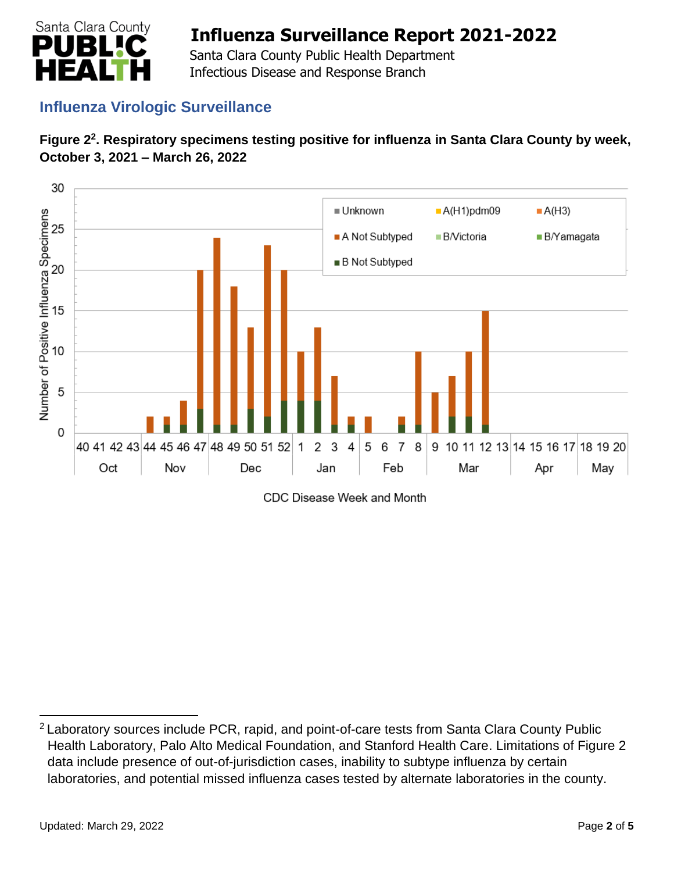

 Santa Clara County Public Health Department Infectious Disease and Response Branch

## **Influenza Virologic Surveillance**





CDC Disease Week and Month

<sup>&</sup>lt;sup>2</sup> Laboratory sources include PCR, rapid, and point-of-care tests from Santa Clara County Public Health Laboratory, Palo Alto Medical Foundation, and Stanford Health Care. Limitations of Figure 2 data include presence of out-of-jurisdiction cases, inability to subtype influenza by certain laboratories, and potential missed influenza cases tested by alternate laboratories in the county.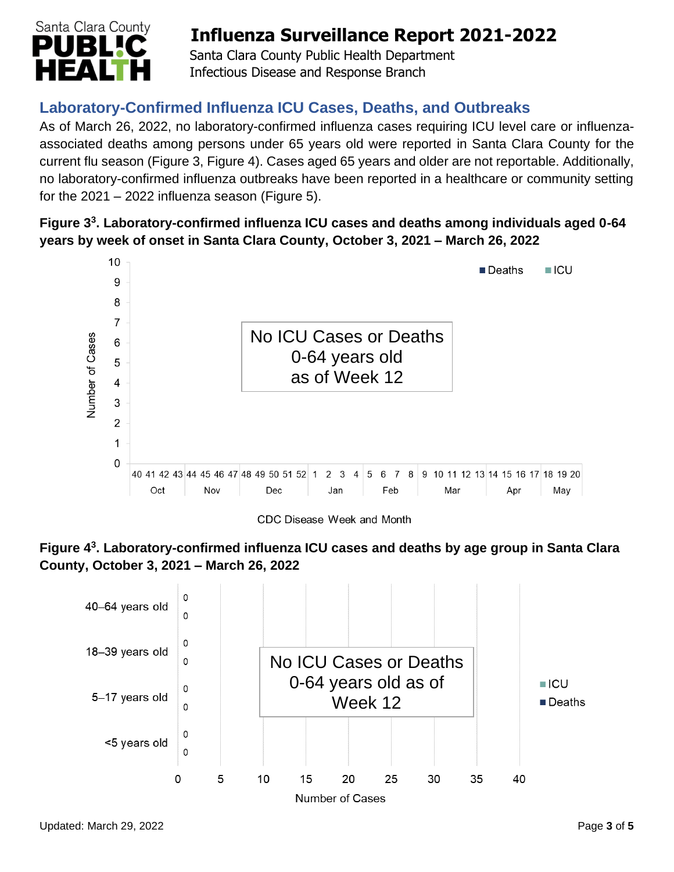

 Santa Clara County Public Health Department Infectious Disease and Response Branch

## **Laboratory-Confirmed Influenza ICU Cases, Deaths, and Outbreaks**

As of March 26, 2022, no laboratory-confirmed influenza cases requiring ICU level care or influenzaassociated deaths among persons under 65 years old were reported in Santa Clara County for the current flu season (Figure 3, Figure 4). Cases aged 65 years and older are not reportable. Additionally, no laboratory-confirmed influenza outbreaks have been reported in a healthcare or community setting for the  $2021 - 2022$  influenza season (Figure 5).

### **Figure 3 3 . Laboratory-confirmed influenza ICU cases and deaths among individuals aged 0-64 years by week of onset in Santa Clara County, October 3, 2021 – March 26, 2022**



CDC Disease Week and Month



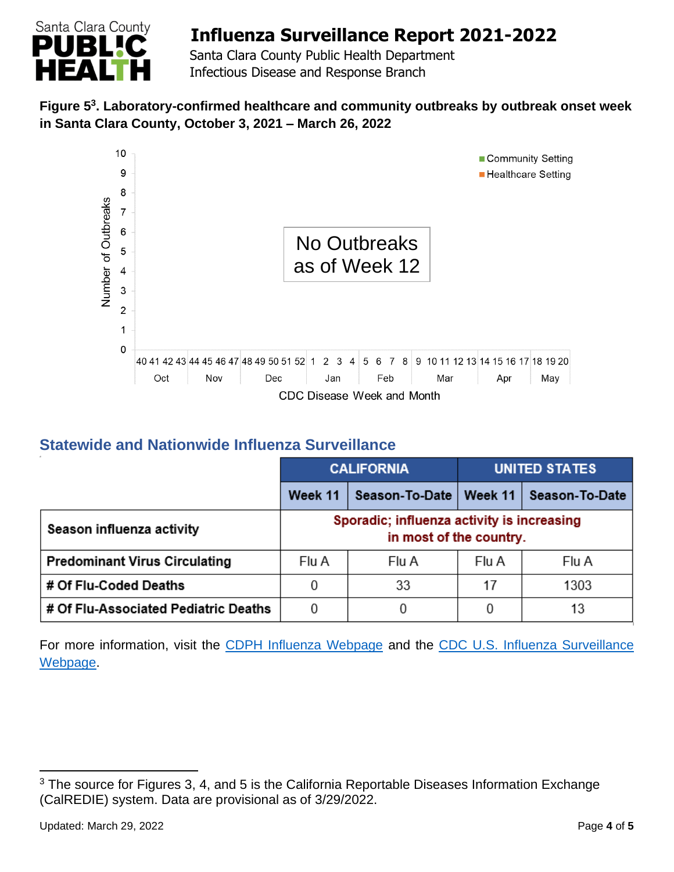

 Santa Clara County Public Health Department Infectious Disease and Response Branch

### **Figure 5 3 . Laboratory-confirmed healthcare and community outbreaks by outbreak onset week in Santa Clara County, October 3, 2021 – March 26, 2022**



## **Statewide and Nationwide Influenza Surveillance**

|                                      | <b>CALIFORNIA</b> |                                                                       | <b>UNITED STATES</b> |                |
|--------------------------------------|-------------------|-----------------------------------------------------------------------|----------------------|----------------|
|                                      | Week 11           | Season-To-Date   Week 11                                              |                      | Season-To-Date |
| Season influenza activity            |                   | Sporadic; influenza activity is increasing<br>in most of the country. |                      |                |
| <b>Predominant Virus Circulating</b> | Flu A             | Flu A                                                                 | Flu A                | Flu A          |
| # Of Flu-Coded Deaths                |                   | 33                                                                    | 17                   | 1303           |
| # Of Flu-Associated Pediatric Deaths | 0                 |                                                                       |                      | 13             |

For more information, visit the [CDPH Influenza Webpage](http://www.cdph.ca.gov/Programs/CID/DCDC/Pages/Immunization/Influenza.aspx) and the CDC U.S. Influenza Surveillance [Webpage.](http://www.cdc.gov/flu/weekly/)

<sup>&</sup>lt;sup>3</sup> The source for Figures 3, 4, and 5 is the California Reportable Diseases Information Exchange (CalREDIE) system. Data are provisional as of 3/29/2022.